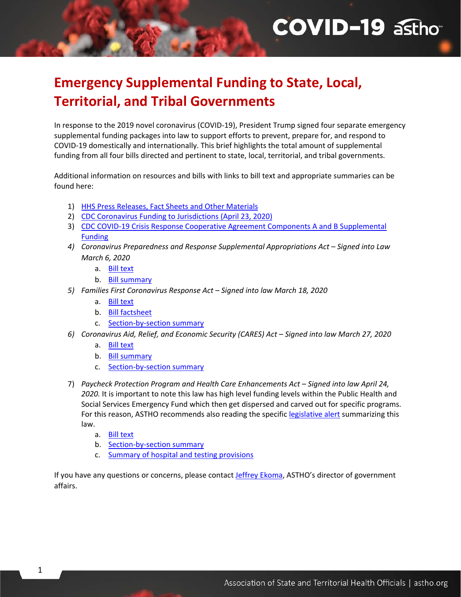# **COVID-19 asthor**

# **Emergency Supplemental Funding to State, Local, Territorial, and Tribal Governments**

In response to the 2019 novel coronavirus (COVID-19), President Trump signed four separate emergency supplemental funding packages into law to support efforts to prevent, prepare for, and respond to COVID-19 domestically and internationally. This brief highlights the total amount of supplemental funding from all four bills directed and pertinent to state, local, territorial, and tribal governments.

Additional information on resources and bills with links to bill text and appropriate summaries can be found here:

- 1) [HHS Press Releases, Fact Sheets and Other Materials](https://www.hhs.gov/about/news/index.html)
- 2) [CDC Coronavirus Funding to Jurisdictions \(April 23, 2020\)](https://www.hhs.gov/about/news/2020/04/23/updated-cdc-funding-information.html)
- 3) [CDC COVID-19 Crisis Response Cooperative Agreement Components A and B Supplemental](https://www.cdc.gov/cpr/readiness/00_docs/COVID_19_Crisis_Response_Cooperative_Agreement_Funding_Table_April_10_2020.pdf)  [Funding](https://www.cdc.gov/cpr/readiness/00_docs/COVID_19_Crisis_Response_Cooperative_Agreement_Funding_Table_April_10_2020.pdf)
- *4) Coronavirus Preparedness and Response Supplemental Appropriations Act Signed into Law March 6, 2020*
	- a. [Bill text](https://www.congress.gov/116/bills/hr6074/BILLS-116hr6074enr.pdf)
	- b. [Bill summary](https://appropriations.house.gov/sites/democrats.appropriations.house.gov/files/Coronavirus%20Supp%20Summary%203.4.20.pdf)
- *5) Families First Coronavirus Response Act Signed into law March 18, 2020*
	- a. [Bill text](https://docs.house.gov/billsthisweek/20200309/BILLS-116hr6201-SUS.pdf)
	- b. [Bill factsheet](https://appropriations.house.gov/sites/democrats.appropriations.house.gov/files/2020-03-17%20Emergency%20Paid%20Sick-Family%20Leave%20Fact%20Sheet%20Enrolled%20FINAL.pdf)
	- c. [Section-by-section summary](https://appropriations.house.gov/sites/democrats.appropriations.house.gov/files/Families%20First%20Summary%20FINAL.pdf)
- *6) Coronavirus Aid, Relief, and Economic Security (CARES) Act Signed into law March 27, 2020*
	- a. [Bill text](https://files.constantcontact.com/c37184a7201/09aa85ba-8e07-4c32-b109-1c8069d8b871.pdf)
	- b. [Bill summary](https://files.constantcontact.com/c37184a7201/e8ab6798-95c9-4c5f-a839-36eaa1989ee5.pdf)
	- c. [Section-by-section summary](https://files.constantcontact.com/1d652835401/a15ed7fc-c463-4db5-87c6-626742054b63.pdf)
- 7) *Paycheck Protection Program and Health Care Enhancements Act Signed into law April 24, 2020.* It is important to note this law has high level funding levels within the Public Health and Social Services Emergency Fund which then get dispersed and carved out for specific programs. For this reason, ASTHO recommends also reading the specific [legislative alert](https://astho.informz.net/informzdataservice/onlineversion/ind/bWFpbGluZ2luc3RhbmNlaWQ9Mjk0Mjc2MyZzdWJzY3JpYmVyaWQ9Mzg3NTk0OTU1) summarizing this law.
	- a. [Bill text](https://files.constantcontact.com/c37184a7201/09cc4003-bf40-48ad-80b1-348bec89a61e.pdf)
	- b. [Section-by-section summary](http://iz1.me/fNb42zA04Cb)
	- c. [Summary of hospital and testing provisions](http://iz1.me/gNb42zA04Cb)

If you have any questions or concerns, please contact **Jeffrey Ekoma**, ASTHO's director of government affairs.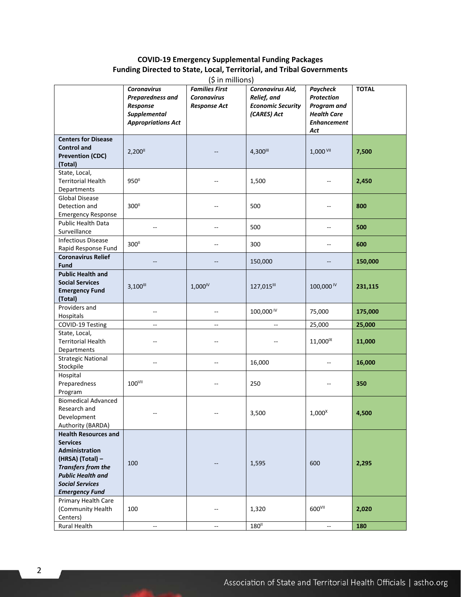#### **COVID-19 Emergency Supplemental Funding Packages Funding Directed to State, Local, Territorial, and Tribal Governments**

| $(5$ in millions)                                                                                                                                                                                                |                                                                                                 |                                                                    |                                                                            |                                                                                          |              |  |  |  |
|------------------------------------------------------------------------------------------------------------------------------------------------------------------------------------------------------------------|-------------------------------------------------------------------------------------------------|--------------------------------------------------------------------|----------------------------------------------------------------------------|------------------------------------------------------------------------------------------|--------------|--|--|--|
|                                                                                                                                                                                                                  | <b>Coronavirus</b><br>Preparedness and<br>Response<br>Supplemental<br><b>Appropriations Act</b> | <b>Families First</b><br><b>Coronavirus</b><br><b>Response Act</b> | Coronavirus Aid,<br>Relief, and<br><b>Economic Security</b><br>(CARES) Act | Paycheck<br>Protection<br>Program and<br><b>Health Care</b><br><b>Enhancement</b><br>Act | <b>TOTAL</b> |  |  |  |
| <b>Centers for Disease</b><br><b>Control and</b><br><b>Prevention (CDC)</b><br>(Total)                                                                                                                           | 2,200                                                                                           |                                                                    | 4,300                                                                      | 1,000 VII                                                                                | 7,500        |  |  |  |
| State, Local,<br><b>Territorial Health</b><br>Departments                                                                                                                                                        | 950"                                                                                            | --                                                                 | 1,500                                                                      |                                                                                          | 2,450        |  |  |  |
| <b>Global Disease</b><br>Detection and<br><b>Emergency Response</b>                                                                                                                                              | 300"                                                                                            |                                                                    | 500                                                                        |                                                                                          | 800          |  |  |  |
| Public Health Data<br>Surveillance                                                                                                                                                                               | $\overline{a}$                                                                                  |                                                                    | 500                                                                        |                                                                                          | 500          |  |  |  |
| <b>Infectious Disease</b><br>Rapid Response Fund                                                                                                                                                                 | 300"                                                                                            |                                                                    | 300                                                                        |                                                                                          | 600          |  |  |  |
| <b>Coronavirus Relief</b><br><b>Fund</b>                                                                                                                                                                         |                                                                                                 |                                                                    | 150,000                                                                    |                                                                                          | 150,000      |  |  |  |
| <b>Public Health and</b><br><b>Social Services</b><br><b>Emergency Fund</b><br>(Total)                                                                                                                           | $3,100$ <sup>III</sup>                                                                          | $1,000^{\text{IV}}$                                                | 127,015III                                                                 | 100,000 <sup>IV</sup>                                                                    | 231,115      |  |  |  |
| Providers and<br>Hospitals                                                                                                                                                                                       | --                                                                                              | --                                                                 | 100,000 <sup>IV</sup>                                                      | 75,000                                                                                   | 175,000      |  |  |  |
| COVID-19 Testing                                                                                                                                                                                                 |                                                                                                 |                                                                    |                                                                            | 25,000                                                                                   | 25,000       |  |  |  |
| State, Local,<br><b>Territorial Health</b><br>Departments                                                                                                                                                        |                                                                                                 |                                                                    |                                                                            | 11,000 <sup>IX</sup>                                                                     | 11,000       |  |  |  |
| <b>Strategic National</b><br>Stockpile                                                                                                                                                                           |                                                                                                 |                                                                    | 16,000                                                                     |                                                                                          | 16,000       |  |  |  |
| Hospital<br>Preparedness<br>Program                                                                                                                                                                              | 100 <sup>VII</sup>                                                                              |                                                                    | 250                                                                        |                                                                                          | 350          |  |  |  |
| <b>Biomedical Advanced</b><br>Research and<br>Development<br>Authority (BARDA)                                                                                                                                   |                                                                                                 |                                                                    | 3,500                                                                      | $1,000^x$                                                                                | 4,500        |  |  |  |
| <b>Health Resources and</b><br><b>Services</b><br>Administration<br>(HRSA) (Total) -<br>Transfers from the<br><b>Public Health and</b><br><b>Social Services</b><br><b>Emergency Fund</b><br>Primary Health Care | 100                                                                                             |                                                                    | 1,595                                                                      | 600                                                                                      | 2,295        |  |  |  |

100 -- 1,320 600<sup>VII</sup> 2**,020** 

Rural Health -- <sup>180</sup>

(Community Health

Centers)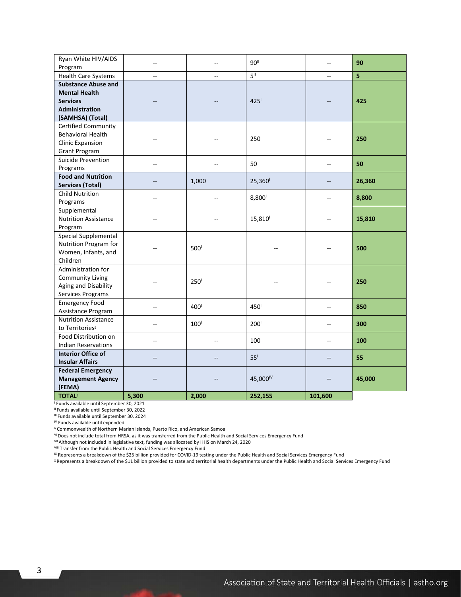| Ryan White HIV/AIDS<br>Program                                                                              | Ξ.             | --               | 90 <sup>11</sup>     | $\overline{\phantom{a}}$ | 90                      |
|-------------------------------------------------------------------------------------------------------------|----------------|------------------|----------------------|--------------------------|-------------------------|
| <b>Health Care Systems</b>                                                                                  | $\overline{a}$ | $\overline{a}$   | $5^{\parallel}$      | $\sim$                   | $\overline{\mathbf{5}}$ |
| <b>Substance Abuse and</b><br><b>Mental Health</b><br><b>Services</b><br>Administration<br>(SAMHSA) (Total) |                |                  | 425                  |                          | 425                     |
| <b>Certified Community</b><br><b>Behavioral Health</b><br><b>Clinic Expansion</b><br><b>Grant Program</b>   | $-$            | $-$              | 250                  |                          | 250                     |
| Suicide Prevention<br>Programs                                                                              | --             |                  | 50                   | $\overline{a}$           | 50                      |
| <b>Food and Nutrition</b><br><b>Services (Total)</b>                                                        | --             | 1,000            | 25,360               | $-$                      | 26,360                  |
| <b>Child Nutrition</b><br>Programs                                                                          | Ξ.             | $-$              | 8,800 <sup>1</sup>   | $-$                      | 8,800                   |
| Supplemental<br><b>Nutrition Assistance</b><br>Program                                                      | ۵.             | --               | 15,810               | $\overline{a}$           | 15,810                  |
| Special Supplemental<br>Nutrition Program for<br>Women, Infants, and<br>Children                            | $-$            | 500 <sup>1</sup> |                      |                          | 500                     |
| Administration for<br><b>Community Living</b><br>Aging and Disability<br>Services Programs                  | ۵.             | 250 <sup>1</sup> | $-$                  | $-$                      | 250                     |
| <b>Emergency Food</b><br>Assistance Program                                                                 | --             | 400 <sup>1</sup> | 450 <sup>1</sup>     | $\overline{a}$           | 850                     |
| <b>Nutrition Assistance</b><br>to Territories <sup>5</sup>                                                  | --             | 100 <sup>1</sup> | 200 <sup>1</sup>     | $\overline{\phantom{a}}$ | 300                     |
| Food Distribution on<br><b>Indian Reservations</b>                                                          | --             | --               | 100                  | $-$                      | 100                     |
| <b>Interior Office of</b><br><b>Insular Affairs</b>                                                         | --             | $\overline{a}$   | 55 <sup>1</sup>      | $-$                      | 55                      |
| <b>Federal Emergency</b><br><b>Management Agency</b><br>(FEMA)                                              |                |                  | 45,000 <sup>IV</sup> |                          | 45,000                  |
| <b>TOTAL6</b>                                                                                               | 5,300          | 2,000            | 252,155              | 101,600                  |                         |

<sup>I</sup> Funds available until September 30, 2021

II Funds available until September 30, 2022

III Funds available until September 30, 2024

IV Funds available until expended

V Commonwealth of Northern Marian Islands, Puerto Rico, and American Samoa

VIDoes not include total from HRSA, as it was transferred from the Public Health and Social Services Emergency Fund VII Although not included in legislative text, funding was allocated by HHS on March 24, 2020

VIII Transfer from the Public Health and Social Services Emergency Fund

<sup>IX</sup> Represents a breakdown of the \$25 billion provided for COVID-19 testing under the Public Health and Social Services Emergency Fund

X Represents a breakdown of the \$11 billion provided to state and territorial health departments under the Public Health and Social Services Emergency Fund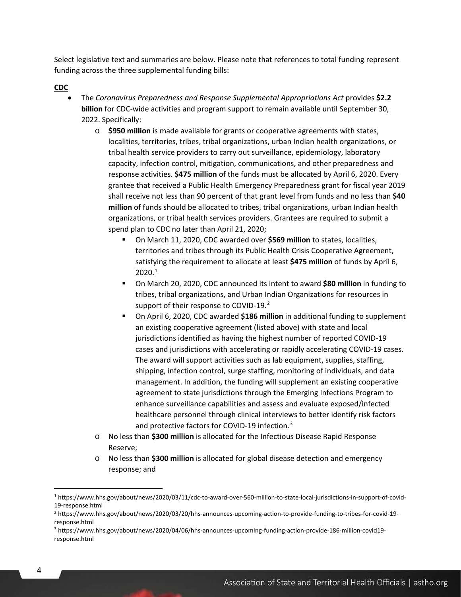Select legislative text and summaries are below. Please note that references to total funding represent funding across the three supplemental funding bills:

#### **CDC**

- The *Coronavirus Preparedness and Response Supplemental Appropriations Act* provides **\$2.2 billion** for CDC-wide activities and program support to remain available until September 30, 2022. Specifically:
	- o **\$950 million** is made available for grants or cooperative agreements with states, localities, territories, tribes, tribal organizations, urban Indian health organizations, or tribal health service providers to carry out surveillance, epidemiology, laboratory capacity, infection control, mitigation, communications, and other preparedness and response activities. **\$475 million** of the funds must be allocated by April 6, 2020. Every grantee that received a Public Health Emergency Preparedness grant for fiscal year 2019 shall receive not less than 90 percent of that grant level from funds and no less than **\$40 million** of funds should be allocated to tribes, tribal organizations, urban Indian health organizations, or tribal health services providers. Grantees are required to submit a spend plan to CDC no later than April 21, 2020;
		- On March 11, 2020, CDC awarded over **\$569 million** to states, localities, territories and tribes through its Public Health Crisis Cooperative Agreement, satisfying the requirement to allocate at least **\$475 million** of funds by April 6,  $2020.<sup>1</sup>$  $2020.<sup>1</sup>$  $2020.<sup>1</sup>$
		- On March 20, 2020, CDC announced its intent to award **\$80 million** in funding to tribes, tribal organizations, and Urban Indian Organizations for resources in support of their response to COVID-19.<sup>[2](#page-3-1)</sup>
		- On April 6, 2020, CDC awarded **\$186 million** in additional funding to supplement an existing cooperative agreement (listed above) with state and local jurisdictions identified as having the highest number of reported COVID-19 cases and jurisdictions with accelerating or rapidly accelerating COVID-19 cases. The award will support activities such as lab equipment, supplies, staffing, shipping, infection control, surge staffing, monitoring of individuals, and data management. In addition, the funding will supplement an existing cooperative agreement to state jurisdictions through the Emerging Infections Program to enhance surveillance capabilities and assess and evaluate exposed/infected healthcare personnel through clinical interviews to better identify risk factors and protective factors for COVID-19 infection.<sup>[3](#page-3-2)</sup>
	- o No less than **\$300 million** is allocated for the Infectious Disease Rapid Response Reserve;
	- o No less than **\$300 million** is allocated for global disease detection and emergency response; and

<span id="page-3-0"></span><sup>1</sup> https://www.hhs.gov/about/news/2020/03/11/cdc-to-award-over-560-million-to-state-local-jurisdictions-in-support-of-covid-19-response.html

<span id="page-3-1"></span><sup>2</sup> https://www.hhs.gov/about/news/2020/03/20/hhs-announces-upcoming-action-to-provide-funding-to-tribes-for-covid-19 response.html

<span id="page-3-2"></span><sup>3</sup> https://www.hhs.gov/about/news/2020/04/06/hhs-announces-upcoming-funding-action-provide-186-million-covid19 response.html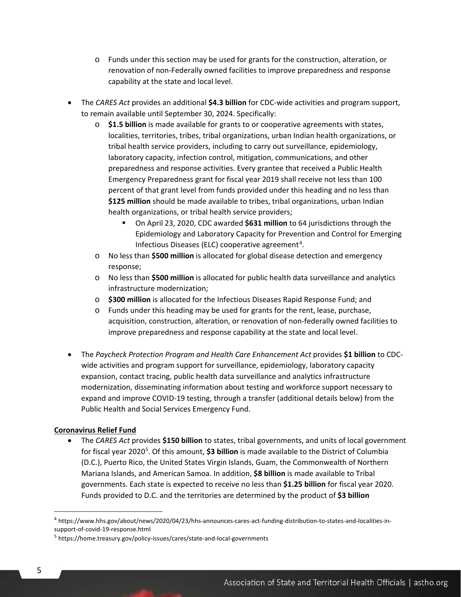- o Funds under this section may be used for grants for the construction, alteration, or renovation of non-Federally owned facilities to improve preparedness and response capability at the state and local level.
- The *CARES Act* provides an additional **\$4.3 billion** for CDC-wide activities and program support, to remain available until September 30, 2024. Specifically:
	- o **\$1.5 billion** is made available for grants to or cooperative agreements with states, localities, territories, tribes, tribal organizations, urban Indian health organizations, or tribal health service providers, including to carry out surveillance, epidemiology, laboratory capacity, infection control, mitigation, communications, and other preparedness and response activities. Every grantee that received a Public Health Emergency Preparedness grant for fiscal year 2019 shall receive not less than 100 percent of that grant level from funds provided under this heading and no less than **\$125 million** should be made available to tribes, tribal organizations, urban Indian health organizations, or tribal health service providers;
		- On April 23, 2020, CDC awarded **\$631 million** to 64 jurisdictions through the Epidemiology and Laboratory Capacity for Prevention and Control for Emerging Infectious Diseases (ELC) cooperative agreement<sup>[4](#page-4-0)</sup>.
	- o No less than **\$500 million** is allocated for global disease detection and emergency response;
	- o No less than **\$500 million** is allocated for public health data surveillance and analytics infrastructure modernization;
	- o **\$300 million** is allocated for the Infectious Diseases Rapid Response Fund; and
	- o Funds under this heading may be used for grants for the rent, lease, purchase, acquisition, construction, alteration, or renovation of non-federally owned facilities to improve preparedness and response capability at the state and local level.
- The *Paycheck Protection Program and Health Care Enhancement Act* provides **\$1 billion** to CDCwide activities and program support for surveillance, epidemiology, laboratory capacity expansion, contact tracing, public health data surveillance and analytics infrastructure modernization, disseminating information about testing and workforce support necessary to expand and improve COVID-19 testing, through a transfer (additional details below) from the Public Health and Social Services Emergency Fund.

#### **Coronavirus Relief Fund**

• The *CARES Act* provides **\$150 billion** to states, tribal governments, and units of local government for fiscal year 2020<sup>[5](#page-4-1)</sup>. Of this amount, **\$3 billion** is made available to the District of Columbia (D.C.), Puerto Rico, the United States Virgin Islands, Guam, the Commonwealth of Northern Mariana Islands, and American Samoa. In addition, **\$8 billion** is made available to Tribal governments. Each state is expected to receive no less than **\$1.25 billion** for fiscal year 2020. Funds provided to D.C. and the territories are determined by the product of **\$3 billion**

<span id="page-4-0"></span><sup>4</sup> https://www.hhs.gov/about/news/2020/04/23/hhs-announces-cares-act-funding-distribution-to-states-and-localities-insupport-of-covid-19-response.html

<span id="page-4-1"></span><sup>5</sup> https://home.treasury.gov/policy-issues/cares/state-and-local-governments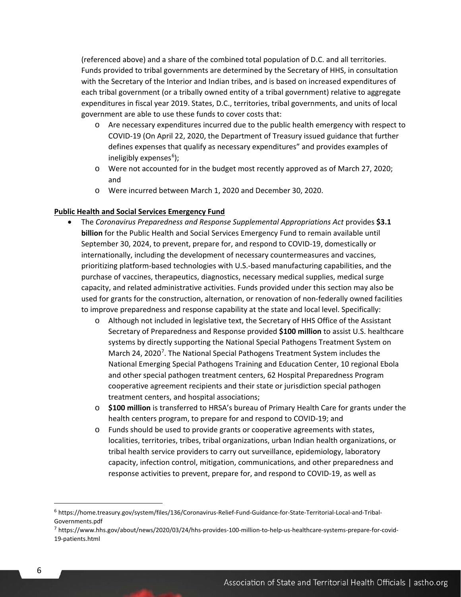(referenced above) and a share of the combined total population of D.C. and all territories. Funds provided to tribal governments are determined by the Secretary of HHS, in consultation with the Secretary of the Interior and Indian tribes, and is based on increased expenditures of each tribal government (or a tribally owned entity of a tribal government) relative to aggregate expenditures in fiscal year 2019. States, D.C., territories, tribal governments, and units of local government are able to use these funds to cover costs that:

- o Are necessary expenditures incurred due to the public health emergency with respect to COVID-19 (On April 22, 2020, the Department of Treasury issued guidance that further defines expenses that qualify as necessary expenditures" and provides examples of ineligibly expenses<sup>[6](#page-5-0)</sup>);
- o Were not accounted for in the budget most recently approved as of March 27, 2020; and
- o Were incurred between March 1, 2020 and December 30, 2020.

#### **Public Health and Social Services Emergency Fund**

- The *Coronavirus Preparedness and Response Supplemental Appropriations Act* provides **\$3.1 billion** for the Public Health and Social Services Emergency Fund to remain available until September 30, 2024, to prevent, prepare for, and respond to COVID-19, domestically or internationally, including the development of necessary countermeasures and vaccines, prioritizing platform-based technologies with U.S.-based manufacturing capabilities, and the purchase of vaccines, therapeutics, diagnostics, necessary medical supplies, medical surge capacity, and related administrative activities. Funds provided under this section may also be used for grants for the construction, alternation, or renovation of non-federally owned facilities to improve preparedness and response capability at the state and local level. Specifically:
	- o Although not included in legislative text, the Secretary of HHS Office of the Assistant Secretary of Preparedness and Response provided **\$100 million** to assist U.S. healthcare systems by directly supporting the National Special Pathogens Treatment System on March 24, 2020<sup>[7](#page-5-1)</sup>. The National Special Pathogens Treatment System includes the National Emerging Special Pathogens Training and Education Center, 10 regional Ebola and other special pathogen treatment centers, 62 Hospital Preparedness Program cooperative agreement recipients and their state or jurisdiction special pathogen treatment centers, and hospital associations;
	- o **\$100 million** is transferred to HRSA's bureau of Primary Health Care for grants under the health centers program, to prepare for and respond to COVID-19; and
	- o Funds should be used to provide grants or cooperative agreements with states, localities, territories, tribes, tribal organizations, urban Indian health organizations, or tribal health service providers to carry out surveillance, epidemiology, laboratory capacity, infection control, mitigation, communications, and other preparedness and response activities to prevent, prepare for, and respond to COVID-19, as well as

<span id="page-5-0"></span><sup>6</sup> https://home.treasury.gov/system/files/136/Coronavirus-Relief-Fund-Guidance-for-State-Territorial-Local-and-Tribal-Governments.pdf

<span id="page-5-1"></span><sup>7</sup> https://www.hhs.gov/about/news/2020/03/24/hhs-provides-100-million-to-help-us-healthcare-systems-prepare-for-covid-19-patients.html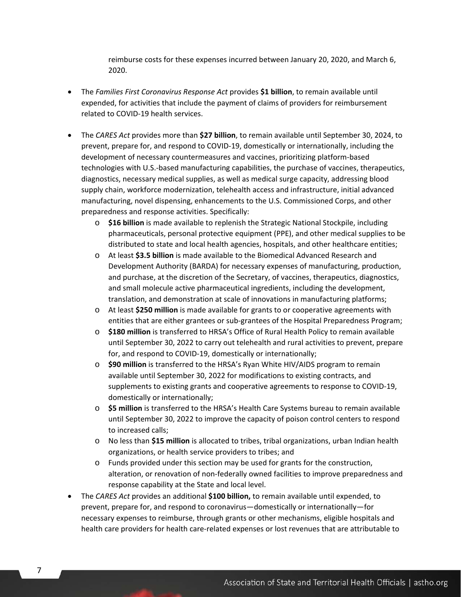reimburse costs for these expenses incurred between January 20, 2020, and March 6, 2020.

- The *Families First Coronavirus Response Act* provides **\$1 billion**, to remain available until expended, for activities that include the payment of claims of providers for reimbursement related to COVID-19 health services.
- The *CARES Act* provides more than **\$27 billion**, to remain available until September 30, 2024, to prevent, prepare for, and respond to COVID-19, domestically or internationally, including the development of necessary countermeasures and vaccines, prioritizing platform-based technologies with U.S.-based manufacturing capabilities, the purchase of vaccines, therapeutics, diagnostics, necessary medical supplies, as well as medical surge capacity, addressing blood supply chain, workforce modernization, telehealth access and infrastructure, initial advanced manufacturing, novel dispensing, enhancements to the U.S. Commissioned Corps, and other preparedness and response activities. Specifically:
	- o **\$16 billion** is made available to replenish the Strategic National Stockpile, including pharmaceuticals, personal protective equipment (PPE), and other medical supplies to be distributed to state and local health agencies, hospitals, and other healthcare entities;
	- o At least **\$3.5 billion** is made available to the Biomedical Advanced Research and Development Authority (BARDA) for necessary expenses of manufacturing, production, and purchase, at the discretion of the Secretary, of vaccines, therapeutics, diagnostics, and small molecule active pharmaceutical ingredients, including the development, translation, and demonstration at scale of innovations in manufacturing platforms;
	- o At least **\$250 million** is made available for grants to or cooperative agreements with entities that are either grantees or sub-grantees of the Hospital Preparedness Program;
	- o **\$180 million** is transferred to HRSA's Office of Rural Health Policy to remain available until September 30, 2022 to carry out telehealth and rural activities to prevent, prepare for, and respond to COVID-19, domestically or internationally;
	- o **\$90 million** is transferred to the HRSA's Ryan White HIV/AIDS program to remain available until September 30, 2022 for modifications to existing contracts, and supplements to existing grants and cooperative agreements to response to COVID-19, domestically or internationally;
	- o **\$5 million** is transferred to the HRSA's Health Care Systems bureau to remain available until September 30, 2022 to improve the capacity of poison control centers to respond to increased calls;
	- o No less than **\$15 million** is allocated to tribes, tribal organizations, urban Indian health organizations, or health service providers to tribes; and
	- o Funds provided under this section may be used for grants for the construction, alteration, or renovation of non-federally owned facilities to improve preparedness and response capability at the State and local level.
- The *CARES Act* provides an additional **\$100 billion,** to remain available until expended, to prevent, prepare for, and respond to coronavirus—domestically or internationally—for necessary expenses to reimburse, through grants or other mechanisms, eligible hospitals and health care providers for health care-related expenses or lost revenues that are attributable to

7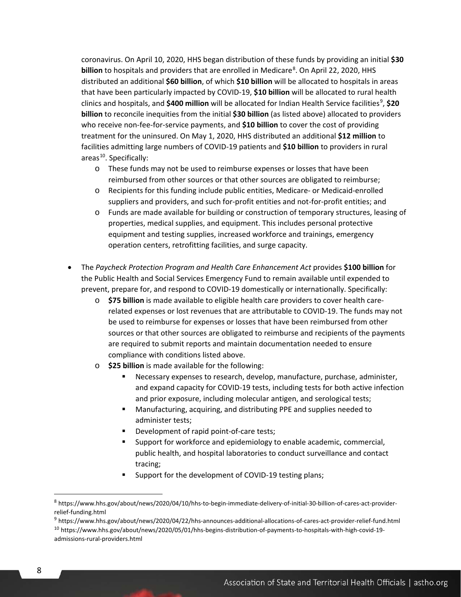coronavirus. On April 10, 2020, HHS began distribution of these funds by providing an initial **\$30 billion** to hospitals and providers that are enrolled in Medicare<sup>[8](#page-7-0)</sup>. On April 22, 2020, HHS distributed an additional **\$60 billion**, of which **\$10 billion** will be allocated to hospitals in areas that have been particularly impacted by COVID-19, **\$10 billion** will be allocated to rural health clinics and hospitals, and \$400 million will be allocated for Indian Health Service facilities<sup>[9](#page-7-1)</sup>, \$20 **billion** to reconcile inequities from the initial **\$30 billion** (as listed above) allocated to providers who receive non-fee-for-service payments, and **\$10 billion** to cover the cost of providing treatment for the uninsured. On May 1, 2020, HHS distributed an additional **\$12 million** to facilities admitting large numbers of COVID-19 patients and **\$10 billion** to providers in rural areas<sup>10</sup>. Specifically:

- o These funds may not be used to reimburse expenses or losses that have been reimbursed from other sources or that other sources are obligated to reimburse;
- o Recipients for this funding include public entities, Medicare- or Medicaid-enrolled suppliers and providers, and such for-profit entities and not-for-profit entities; and
- o Funds are made available for building or construction of temporary structures, leasing of properties, medical supplies, and equipment. This includes personal protective equipment and testing supplies, increased workforce and trainings, emergency operation centers, retrofitting facilities, and surge capacity.
- The *Paycheck Protection Program and Health Care Enhancement Act* provides **\$100 billion** for the Public Health and Social Services Emergency Fund to remain available until expended to prevent, prepare for, and respond to COVID-19 domestically or internationally. Specifically:
	- o **\$75 billion** is made available to eligible health care providers to cover health carerelated expenses or lost revenues that are attributable to COVID-19. The funds may not be used to reimburse for expenses or losses that have been reimbursed from other sources or that other sources are obligated to reimburse and recipients of the payments are required to submit reports and maintain documentation needed to ensure compliance with conditions listed above.
	- o **\$25 billion** is made available for the following:
		- Necessary expenses to research, develop, manufacture, purchase, administer, and expand capacity for COVID-19 tests, including tests for both active infection and prior exposure, including molecular antigen, and serological tests;
		- Manufacturing, acquiring, and distributing PPE and supplies needed to administer tests;
		- Development of rapid point-of-care tests;
		- Support for workforce and epidemiology to enable academic, commercial, public health, and hospital laboratories to conduct surveillance and contact tracing;
		- Support for the development of COVID-19 testing plans;

<span id="page-7-0"></span><sup>8</sup> https://www.hhs.gov/about/news/2020/04/10/hhs-to-begin-immediate-delivery-of-initial-30-billion-of-cares-act-providerrelief-funding.html

<span id="page-7-2"></span><span id="page-7-1"></span><sup>9</sup> https://www.hhs.gov/about/news/2020/04/22/hhs-announces-additional-allocations-of-cares-act-provider-relief-fund.html <sup>10</sup> https://www.hhs.gov/about/news/2020/05/01/hhs-begins-distribution-of-payments-to-hospitals-with-high-covid-19 admissions-rural-providers.html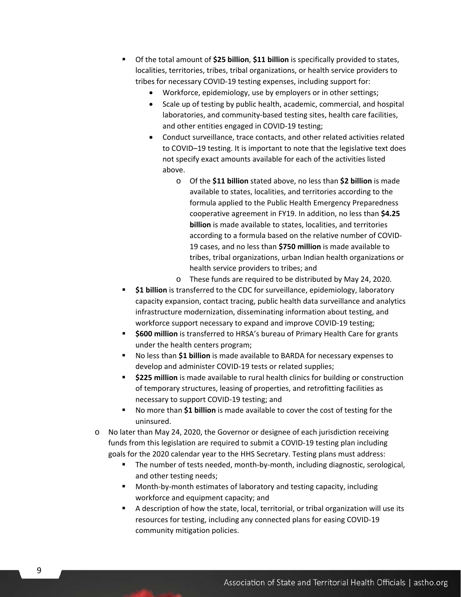- Of the total amount of **\$25 billion**, **\$11 billion** is specifically provided to states, localities, territories, tribes, tribal organizations, or health service providers to tribes for necessary COVID-19 testing expenses, including support for:
	- Workforce, epidemiology, use by employers or in other settings;
	- Scale up of testing by public health, academic, commercial, and hospital laboratories, and community-based testing sites, health care facilities, and other entities engaged in COVID-19 testing;
	- Conduct surveillance, trace contacts, and other related activities related to COVID–19 testing. It is important to note that the legislative text does not specify exact amounts available for each of the activities listed above.
		- o Of the **\$11 billion** stated above, no less than **\$2 billion** is made available to states, localities, and territories according to the formula applied to the Public Health Emergency Preparedness cooperative agreement in FY19. In addition, no less than **\$4.25 billion** is made available to states, localities, and territories according to a formula based on the relative number of COVID-19 cases, and no less than **\$750 million** is made available to tribes, tribal organizations, urban Indian health organizations or health service providers to tribes; and
		- o These funds are required to be distributed by May 24, 2020.
- **\$1 billion** is transferred to the CDC for surveillance, epidemiology, laboratory capacity expansion, contact tracing, public health data surveillance and analytics infrastructure modernization, disseminating information about testing, and workforce support necessary to expand and improve COVID-19 testing;
- **\$600 million** is transferred to HRSA's bureau of Primary Health Care for grants under the health centers program;
- No less than **\$1 billion** is made available to BARDA for necessary expenses to develop and administer COVID-19 tests or related supplies;
- **\$225 million** is made available to rural health clinics for building or construction of temporary structures, leasing of properties, and retrofitting facilities as necessary to support COVID-19 testing; and
- No more than **\$1 billion** is made available to cover the cost of testing for the uninsured.
- o No later than May 24, 2020, the Governor or designee of each jurisdiction receiving funds from this legislation are required to submit a COVID-19 testing plan including goals for the 2020 calendar year to the HHS Secretary. Testing plans must address:
	- The number of tests needed, month-by-month, including diagnostic, serological, and other testing needs;
	- Month-by-month estimates of laboratory and testing capacity, including workforce and equipment capacity; and
	- A description of how the state, local, territorial, or tribal organization will use its resources for testing, including any connected plans for easing COVID-19 community mitigation policies.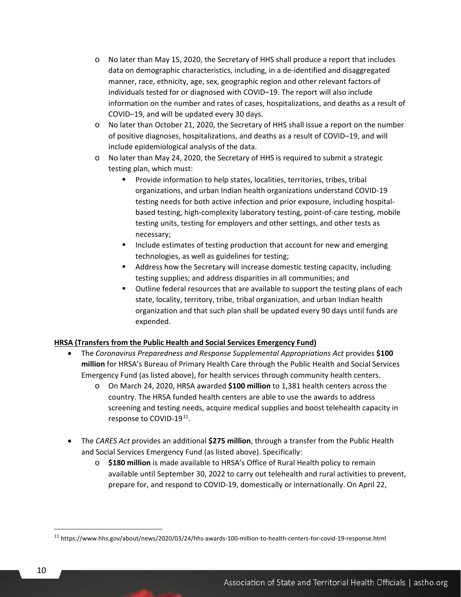- o No later than May 15, 2020, the Secretary of HHS shall produce a report that includes data on demographic characteristics, including, in a de-identified and disaggregated manner, race, ethnicity, age, sex, geographic region and other relevant factors of individuals tested for or diagnosed with COVID–19. The report will also include information on the number and rates of cases, hospitalizations, and deaths as a result of COVID–19, and will be updated every 30 days.
- o No later than October 21, 2020, the Secretary of HHS shall issue a report on the number of positive diagnoses, hospitalizations, and deaths as a result of COVID–19, and will include epidemiological analysis of the data.
- o No later than May 24, 2020, the Secretary of HHS is required to submit a strategic testing plan, which must:
	- **Provide information to help states, localities, territories, tribes, tribal** organizations, and urban Indian health organizations understand COVID-19 testing needs for both active infection and prior exposure, including hospitalbased testing, high-complexity laboratory testing, point-of-care testing, mobile testing units, testing for employers and other settings, and other tests as necessary;
	- Include estimates of testing production that account for new and emerging technologies, as well as guidelines for testing;
	- Address how the Secretary will increase domestic testing capacity, including testing supplies; and address disparities in all communities; and
	- **ULCA** Outline federal resources that are available to support the testing plans of each state, locality, territory, tribe, tribal organization, and urban Indian health organization and that such plan shall be updated every 90 days until funds are expended.

#### **HRSA (Transfers from the Public Health and Social Services Emergency Fund)**

- The *Coronavirus Preparedness and Response Supplemental Appropriations Act* provides **\$100 million** for HRSA's Bureau of Primary Health Care through the Public Health and Social Services Emergency Fund (as listed above), for health services through community health centers.
	- o On March 24, 2020, HRSA awarded **\$100 million** to 1,381 health centers across the country. The HRSA funded health centers are able to use the awards to address screening and testing needs, acquire medical supplies and boost telehealth capacity in response to COVID-19<sup>[11](#page-9-0)</sup>.
- The *CARES Act* provides an additional **\$275 million**, through a transfer from the Public Health and Social Services Emergency Fund (as listed above). Specifically:
	- o **\$180 million** is made available to HRSA's Office of Rural Health policy to remain available until September 30, 2022 to carry out telehealth and rural activities to prevent, prepare for, and respond to COVID-19, domestically or internationally. On April 22,

<span id="page-9-0"></span><sup>11</sup> https://www.hhs.gov/about/news/2020/03/24/hhs-awards-100-million-to-health-centers-for-covid-19-response.html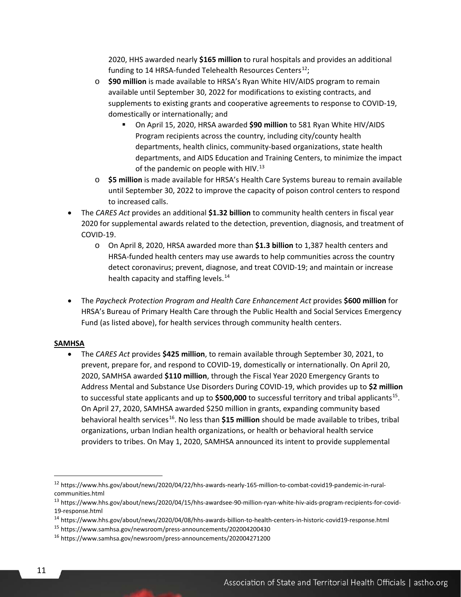2020, HHS awarded nearly **\$165 million** to rural hospitals and provides an additional funding to 14 HRSA-funded Telehealth Resources Centers<sup>[12](#page-10-0)</sup>;

- o **\$90 million** is made available to HRSA's Ryan White HIV/AIDS program to remain available until September 30, 2022 for modifications to existing contracts, and supplements to existing grants and cooperative agreements to response to COVID-19, domestically or internationally; and
	- On April 15, 2020, HRSA awarded **\$90 million** to 581 Ryan White HIV/AIDS Program recipients across the country, including city/county health departments, health clinics, community-based organizations, state health departments, and AIDS Education and Training Centers, to minimize the impact of the pandemic on people with HIV. $^{13}$  $^{13}$  $^{13}$
- o **\$5 million** is made available for HRSA's Health Care Systems bureau to remain available until September 30, 2022 to improve the capacity of poison control centers to respond to increased calls.
- The *CARES Act* provides an additional **\$1.32 billion** to community health centers in fiscal year 2020 for supplemental awards related to the detection, prevention, diagnosis, and treatment of COVID-19.
	- o On April 8, 2020, HRSA awarded more than **\$1.3 billion** to 1,387 health centers and HRSA-funded health centers may use awards to help communities across the country detect coronavirus; prevent, diagnose, and treat COVID-19; and maintain or increase health capacity and staffing levels.<sup>[14](#page-10-2)</sup>
- The *Paycheck Protection Program and Health Care Enhancement Act* provides **\$600 million** for HRSA's Bureau of Primary Health Care through the Public Health and Social Services Emergency Fund (as listed above), for health services through community health centers.

#### **SAMHSA**

• The *CARES Act* provides **\$425 million**, to remain available through September 30, 2021, to prevent, prepare for, and respond to COVID-19, domestically or internationally. On April 20, 2020, SAMHSA awarded **\$110 million**, through the Fiscal Year 2020 Emergency Grants to Address Mental and Substance Use Disorders During COVID-19, which provides up to **\$2 million** to successful state applicants and up to \$500,000 to successful territory and tribal applicants<sup>[15](#page-10-3)</sup>. On April 27, 2020, SAMHSA awarded \$250 million in grants, expanding community based behavioral health services<sup>16</sup>. No less than \$15 million should be made available to tribes, tribal organizations, urban Indian health organizations, or health or behavioral health service providers to tribes. On May 1, 2020, SAMHSA announced its intent to provide supplemental

<span id="page-10-0"></span><sup>12</sup> https://www.hhs.gov/about/news/2020/04/22/hhs-awards-nearly-165-million-to-combat-covid19-pandemic-in-ruralcommunities.html

<span id="page-10-1"></span><sup>13</sup> https://www.hhs.gov/about/news/2020/04/15/hhs-awardsee-90-million-ryan-white-hiv-aids-program-recipients-for-covid-19-response.html

<span id="page-10-2"></span><sup>14</sup> https://www.hhs.gov/about/news/2020/04/08/hhs-awards-billion-to-health-centers-in-historic-covid19-response.html

<span id="page-10-3"></span><sup>15</sup> https://www.samhsa.gov/newsroom/press-announcements/202004200430

<span id="page-10-4"></span><sup>16</sup> https://www.samhsa.gov/newsroom/press-announcements/202004271200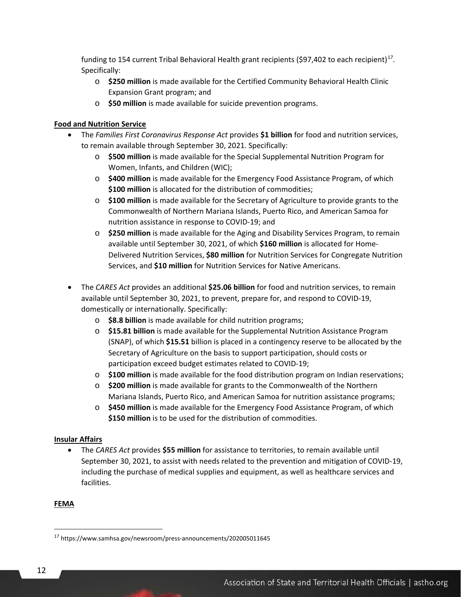funding to 154 current Tribal Behavioral Health grant recipients (\$97,402 to each recipient)<sup>[17](#page-11-0)</sup>. Specifically:

- o **\$250 million** is made available for the Certified Community Behavioral Health Clinic Expansion Grant program; and
- o **\$50 million** is made available for suicide prevention programs.

### **Food and Nutrition Service**

- The *Families First Coronavirus Response Act* provides **\$1 billion** for food and nutrition services, to remain available through September 30, 2021. Specifically:
	- o **\$500 million** is made available for the Special Supplemental Nutrition Program for Women, Infants, and Children (WIC);
	- o **\$400 million** is made available for the Emergency Food Assistance Program, of which **\$100 million** is allocated for the distribution of commodities;
	- o **\$100 million** is made available for the Secretary of Agriculture to provide grants to the Commonwealth of Northern Mariana Islands, Puerto Rico, and American Samoa for nutrition assistance in response to COVID-19; and
	- o **\$250 million** is made available for the Aging and Disability Services Program, to remain available until September 30, 2021, of which **\$160 million** is allocated for Home-Delivered Nutrition Services, **\$80 million** for Nutrition Services for Congregate Nutrition Services, and **\$10 million** for Nutrition Services for Native Americans.
- The *CARES Act* provides an additional **\$25.06 billion** for food and nutrition services, to remain available until September 30, 2021, to prevent, prepare for, and respond to COVID-19, domestically or internationally. Specifically:
	- o **\$8.8 billion** is made available for child nutrition programs;
	- o **\$15.81 billion** is made available for the Supplemental Nutrition Assistance Program (SNAP), of which **\$15.51** billion is placed in a contingency reserve to be allocated by the Secretary of Agriculture on the basis to support participation, should costs or participation exceed budget estimates related to COVID-19;
	- o **\$100 million** is made available for the food distribution program on Indian reservations;
	- o **\$200 million** is made available for grants to the Commonwealth of the Northern Mariana Islands, Puerto Rico, and American Samoa for nutrition assistance programs;
	- o **\$450 million** is made available for the Emergency Food Assistance Program, of which **\$150 million** is to be used for the distribution of commodities.

## **Insular Affairs**

• The *CARES Act* provides **\$55 million** for assistance to territories, to remain available until September 30, 2021, to assist with needs related to the prevention and mitigation of COVID-19, including the purchase of medical supplies and equipment, as well as healthcare services and facilities.

#### **FEMA**

<span id="page-11-0"></span><sup>17</sup> https://www.samhsa.gov/newsroom/press-announcements/202005011645